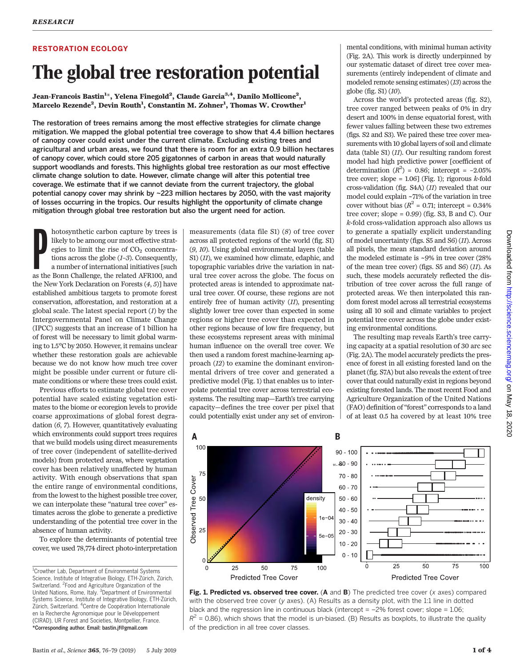# RESTORATION ECOLOGY

U<br>
Jean-Francois Bastin<sup>1\*</sup>, Yelena Finegold<sup>2</sup>, Claude Garcia<sup>3,4</sup>, Danilo Mollicone<sup>2</sup>, Marcelo Rezende<sup>2</sup>, Devin Routh<sup>1</sup>, Constantin M. Zohner<sup>1</sup>, Thomas W. Crowther<sup>1</sup>

The restoration of trees remains among the most effective strategies for climate change mitigation. We mapped the global potential tree coverage to show that 4.4 billion hectares of canopy cover could exist under the current climate. Excluding existing trees and agricultural and urban areas, we found that there is room for an extra 0.9 billion hectares of canopy cover, which could store 205 gigatonnes of carbon in areas that would naturally support woodlands and forests. This highlights global tree restoration as our most effective climate change solution to date. However, climate change will alter this potential tree coverage. We estimate that if we cannot deviate from the current trajectory, the global potential canopy cover may shrink by ~223 million hectares by 2050, with the vast majority of losses occurring in the tropics. Our results highlight the opportunity of climate change mitigation through global tree restoration but also the urgent need for action.

hotosynthetic carbon capture by trees is<br>likely to be among our most effective strat-<br>egies to limit the rise of CO<sub>2</sub> concentra-<br>tions across the globe (*1–3*). Consequently,<br>a number of international initiatives [such<br>as hotosynthetic carbon capture by trees is likely to be among our most effective strategies to limit the rise of  $CO<sub>2</sub>$  concentrations across the globe (1–3). Consequently, a number of international initiatives [such the New York Declaration on Forests (4, 5)] have established ambitious targets to promote forest conservation, afforestation, and restoration at a global scale. The latest special report  $(I)$  by the Intergovernmental Panel on Climate Change (IPCC) suggests that an increase of 1 billion ha of forest will be necessary to limit global warming to 1.5°C by 2050. However, it remains unclear whether these restoration goals are achievable because we do not know how much tree cover might be possible under current or future climate conditions or where these trees could exist.

Previous efforts to estimate global tree cover potential have scaled existing vegetation estimates to the biome or ecoregion levels to provide coarse approximations of global forest degradation (6, 7). However, quantitatively evaluating which environments could support trees requires that we build models using direct measurements of tree cover (independent of satellite-derived models) from protected areas, where vegetation cover has been relatively unaffected by human activity. With enough observations that span the entire range of environmental conditions, from the lowest to the highest possible tree cover, we can interpolate these "natural tree cover" estimates across the globe to generate a predictive understanding of the potential tree cover in the absence of human activity.

To explore the determinants of potential tree cover, we used 78,774 direct photo-interpretation measurements (data file S1) (8) of tree cover across all protected regions of the world (fig. S1) (9, 10). Using global environmental layers (table S1) (*11*), we examined how climate, edaphic, and topographic variables drive the variation in natural tree cover across the globe. The focus on protected areas is intended to approximate natural tree cover. Of course, these regions are not entirely free of human activity (11), presenting slightly lower tree cover than expected in some regions or higher tree cover than expected in other regions because of low fire frequency, but these ecosystems represent areas with minimal human influence on the overall tree cover. We then used a random forest machine-learning approach (12) to examine the dominant environmental drivers of tree cover and generated a predictive model (Fig. 1) that enables us to interpolate potential tree cover across terrestrial ecosystems. The resulting map—Earth's tree carrying capacity—defines the tree cover per pixel that could potentially exist under any set of environmental conditions, with minimal human activity (Fig. 2A). This work is directly underpinned by our systematic dataset of direct tree cover measurements (entirely independent of climate and modeled remote sensing estimates) (13) across the globe (fig. S1) (10).

Across the world's protected areas (fig. S2), tree cover ranged between peaks of 0% in dry desert and 100% in dense equatorial forest, with fewer values falling between these two extremes (figs. S2 and S3). We paired these tree cover measurements with 10 global layers of soil and climate data (table S1) (11). Our resulting random forest model had high predictive power [coefficient of determination  $(R^2) = 0.86$ ; intercept = -2.05% tree cover; slope =  $1.06$ ] (Fig. 1); rigorous k-fold cross-validation (fig. S4A) (11) revealed that our model could explain ~71% of the variation in tree cover without bias ( $R^2$  = 0.71; intercept = 0.34% tree cover; slope  $= 0.99$ ) (fig. S3, B and C). Our k-fold cross-validation approach also allows us to generate a spatially explicit understanding of model uncertainty (figs. S5 and S6) (11). Across all pixels, the mean standard deviation around the modeled estimate is ~9% in tree cover (28% of the mean tree cover) (figs. S5 and S6) (11). As such, these models accurately reflected the distribution of tree cover across the full range of protected areas. We then interpolated this random forest model across all terrestrial ecosystems using all 10 soil and climate variables to project potential tree cover across the globe under existing environmental conditions.

The resulting map reveals Earth's tree carrying capacity at a spatial resolution of 30 arc sec (Fig. 2A). The model accurately predicts the presence of forest in all existing forested land on the planet (fig. S7A) but also reveals the extent of tree cover that could naturally exist in regions beyond existing forested lands. The most recent Food and Agriculture Organization of the United Nations (FAO) definition of"forest" corresponds to a land of at least 0.5 ha covered by at least 10% tree



Downloaded from http://science.sciencemag.org/ on May 18, on May 18, 2020 <http://science.sciencemag.org/> Downloaded from  $.2020$ 



<sup>&</sup>lt;sup>1</sup>Crowther Lab, Department of Environmental Systems Science, Institute of Integrative Biology, ETH-Zürich, Zürich, Switzerland. <sup>2</sup> Food and Agriculture Organization of the United Nations, Rome, Italy. <sup>3</sup>Department of Environmental Systems Science, Institute of Integrative Biology, ETH-Zürich, Zürich, Switzerland. <sup>4</sup>Centre de Coopération Internationale en la Recherche Agronomique pour le Développement (CIRAD), UR Forest and Societies, Montpellier, France. \*Corresponding author. Email: bastin.jf@gmail.com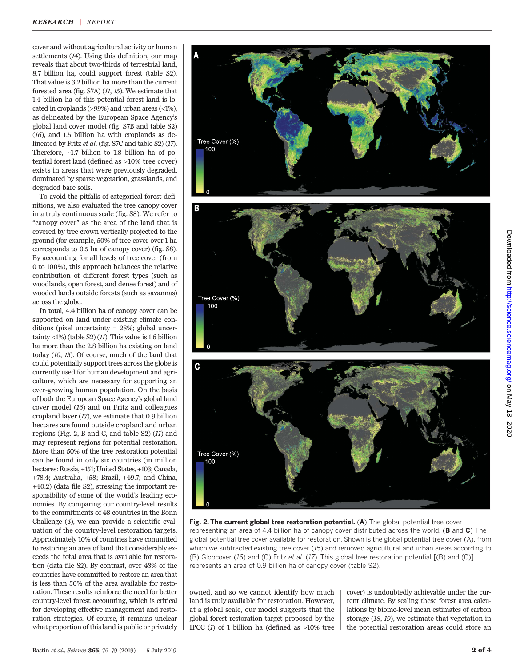cover and without agricultural activity or human settlements (14). Using this definition, our map reveals that about two-thirds of terrestrial land, 8.7 billion ha, could support forest (table S2). That value is 3.2 billion ha more than the current forested area (fig. S7A) (11, 15). We estimate that 1.4 billion ha of this potential forest land is located in croplands (>99%) and urban areas (<1%), as delineated by the European Space Agency's global land cover model (fig. S7B and table S2) (16), and 1.5 billion ha with croplands as delineated by Fritz et al. (fig. S7C and table S2) (17). Therefore, ~1.7 billion to 1.8 billion ha of potential forest land (defined as >10% tree cover) exists in areas that were previously degraded, dominated by sparse vegetation, grasslands, and degraded bare soils.

To avoid the pitfalls of categorical forest definitions, we also evaluated the tree canopy cover in a truly continuous scale (fig. S8). We refer to "canopy cover" as the area of the land that is covered by tree crown vertically projected to the ground (for example, 50% of tree cover over 1 ha corresponds to 0.5 ha of canopy cover) (fig. S8). By accounting for all levels of tree cover (from 0 to 100%), this approach balances the relative contribution of different forest types (such as woodlands, open forest, and dense forest) and of wooded lands outside forests (such as savannas) across the globe.

In total, 4.4 billion ha of canopy cover can be supported on land under existing climate conditions (pixel uncertainty = 28%; global uncertainty <1%) (table S2)  $(11)$ . This value is 1.6 billion ha more than the 2.8 billion ha existing on land today (10, 15). Of course, much of the land that could potentially support trees across the globe is currently used for human development and agriculture, which are necessary for supporting an ever-growing human population. On the basis of both the European Space Agency's global land cover model (16) and on Fritz and colleagues cropland layer (17), we estimate that 0.9 billion hectares are found outside cropland and urban regions (Fig. 2, B and C, and table S2) (11) and may represent regions for potential restoration. More than 50% of the tree restoration potential can be found in only six countries (in million hectares: Russia, +151; United States, +103; Canada, +78.4; Australia, +58; Brazil, +49.7; and China, +40.2) (data file S2), stressing the important responsibility of some of the world's leading economies. By comparing our country-level results to the commitments of 48 countries in the Bonn Challenge (4), we can provide a scientific evaluation of the country-level restoration targets. Approximately 10% of countries have committed to restoring an area of land that considerably exceeds the total area that is available for restoration (data file S2). By contrast, over 43% of the countries have committed to restore an area that is less than 50% of the area available for restoration. These results reinforce the need for better country-level forest accounting, which is critical for developing effective management and restoration strategies. Of course, it remains unclear what proportion of this land is public or privately



Fig. 2. The current global tree restoration potential. (A) The global potential tree cover representing an area of 4.4 billion ha of canopy cover distributed across the world. (B and C) The global potential tree cover available for restoration. Shown is the global potential tree cover (A), from which we subtracted existing tree cover (15) and removed agricultural and urban areas according to (B) Globcover (16) and (C) Fritz et al. (17). This global tree restoration potential [(B) and (C)] represents an area of 0.9 billion ha of canopy cover (table S2).

owned, and so we cannot identify how much land is truly available for restoration. However, at a global scale, our model suggests that the global forest restoration target proposed by the IPCC  $(1)$  of 1 billion ha (defined as  $>10\%$  tree cover) is undoubtedly achievable under the current climate. By scaling these forest area calculations by biome-level mean estimates of carbon storage (18, 19), we estimate that vegetation in the potential restoration areas could store an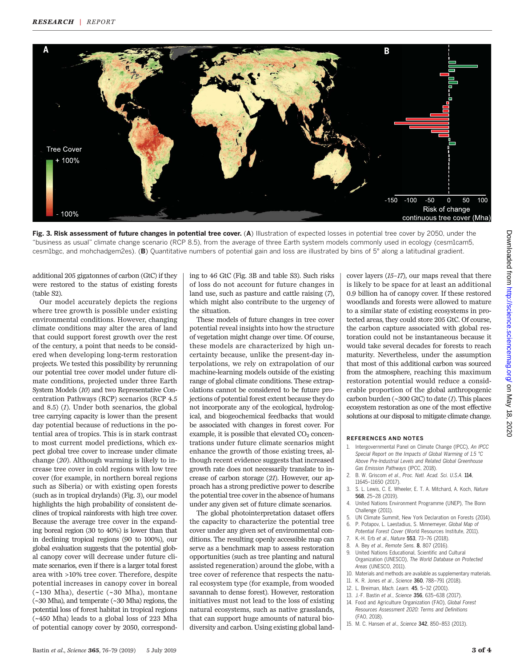

Fig. 3. Risk assessment of future changes in potential tree cover. (A) Illustration of expected losses in potential tree cover by 2050, under the "business as usual" climate change scenario (RCP 8.5), from the average of three Earth system models commonly used in ecology (cesm1cam5, cesm1bgc, and mohchadgem2es). (B) Quantitative numbers of potential gain and loss are illustrated by bins of 5° along a latitudinal gradient.

additional 205 gigatonnes of carbon (GtC) if they were restored to the status of existing forests (table S2).

Our model accurately depicts the regions where tree growth is possible under existing environmental conditions. However, changing climate conditions may alter the area of land that could support forest growth over the rest of the century, a point that needs to be considered when developing long-term restoration projects. We tested this possibility by rerunning our potential tree cover model under future climate conditions, projected under three Earth System Models (10) and two Representative Concentration Pathways (RCP) scenarios (RCP 4.5 and 8.5) (1). Under both scenarios, the global tree carrying capacity is lower than the present day potential because of reductions in the potential area of tropics. This is in stark contrast to most current model predictions, which expect global tree cover to increase under climate change (20). Although warming is likely to increase tree cover in cold regions with low tree cover (for example, in northern boreal regions such as Siberia) or with existing open forests (such as in tropical drylands) (Fig. 3), our model highlights the high probability of consistent declines of tropical rainforests with high tree cover. Because the average tree cover in the expanding boreal region (30 to 40%) is lower than that in declining tropical regions (90 to 100%), our global evaluation suggests that the potential global canopy cover will decrease under future climate scenarios, even if there is a larger total forest area with >10% tree cover. Therefore, despite potential increases in canopy cover in boreal (~130 Mha), desertic (~30 Mha), montane (~30 Mha), and temperate (~30 Mha) regions, the potential loss of forest habitat in tropical regions (~450 Mha) leads to a global loss of 223 Mha of potential canopy cover by 2050, correspond-

ing to 46 GtC (Fig. 3B and table S3). Such risks of loss do not account for future changes in land use, such as pasture and cattle raising (7), which might also contribute to the urgency of the situation.

These models of future changes in tree cover potential reveal insights into how the structure of vegetation might change over time. Of course, these models are characterized by high uncertainty because, unlike the present-day interpolations, we rely on extrapolation of our machine-learning models outside of the existing range of global climate conditions. These extrapolations cannot be considered to be future projections of potential forest extent because they do not incorporate any of the ecological, hydrological, and biogeochemical feedbacks that would be associated with changes in forest cover. For example, it is possible that elevated  $CO<sub>2</sub>$  concentrations under future climate scenarios might enhance the growth of those existing trees, although recent evidence suggests that increased growth rate does not necessarily translate to increase of carbon storage (21). However, our approach has a strong predictive power to describe the potential tree cover in the absence of humans under any given set of future climate scenarios.

The global photointerpretation dataset offers the capacity to characterize the potential tree cover under any given set of environmental conditions. The resulting openly accessible map can serve as a benchmark map to assess restoration opportunities (such as tree planting and natural assisted regeneration) around the globe, with a tree cover of reference that respects the natural ecosystem type (for example, from wooded savannah to dense forest). However, restoration initiatives must not lead to the loss of existing natural ecosystems, such as native grasslands, that can support huge amounts of natural biodiversity and carbon. Using existing global landcover layers (15–17), our maps reveal that there is likely to be space for at least an additional 0.9 billion ha of canopy cover. If these restored woodlands and forests were allowed to mature to a similar state of existing ecosystems in protected areas, they could store 205 GtC. Of course, the carbon capture associated with global restoration could not be instantaneous because it would take several decades for forests to reach maturity. Nevertheless, under the assumption that most of this additional carbon was sourced from the atmosphere, reaching this maximum restoration potential would reduce a considerable proportion of the global anthropogenic carbon burden  $(\sim 300 \text{ GtC})$  to date  $(I)$ . This places ecosystem restoration as one of the most effective solutions at our disposal to mitigate climate change.

## REFERENCES AND NOTES

- 1. Intergovernmental Panel on Climate Change (IPCC), An IPCC Special Report on the Impacts of Global Warming of 1.5 °C Above Pre-Industrial Levels and Related Global Greenhouse Gas Emission Pathways (IPCC, 2018).
- B. W. Griscom et al., Proc. Natl. Acad. Sci. U.S.A. 114, 11645–11650 (2017).
- 3. S. L. Lewis, C. E. Wheeler, E. T. A. Mitchard, A. Koch, Nature 568, 25–28 (2019).
- 4. United Nations Environment Programme (UNEP), The Bonn Challenge (2011).
- 5. UN Climate Summit, New York Declaration on Forests (2014).
- 6. P. Potapov, L. Laestadius, S. Minnemeyer, Global Map of Potential Forest Cover (World Resources Institute, 2011). K.-H. Erb et al., Nature 553, 73-76 (2018).
- 8. A. Bey et al., Remote Sens. 8, 807 (2016).
- 9. United Nations Educational, Scientific and Cultural Organization (UNESCO), The World Database on Protected Areas (UNESCO, 2011).
- 10. Materials and methods are available as supplementary materials.
- 11. K. R. Jones et al., Science 360, 788–791 (2018).
- 12. L. Breiman, Mach. Learn. 45, 5–32 (2001).
- 13. J.-F. Bastin et al., Science 356, 635-638 (2017).
- 14. Food and Agriculture Organization (FAO), Global Forest Resources Assessment 2020: Terms and Definitions (FAO, 2018).
- 15. M. C. Hansen et al., Science 342, 850–853 (2013).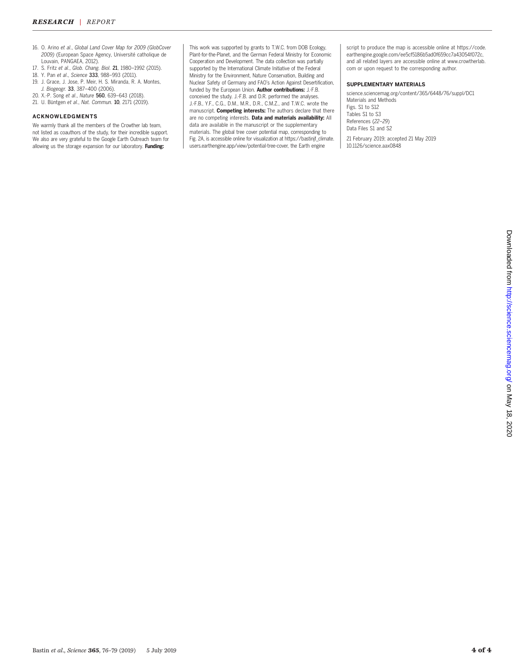- 16. O. Arino et al., Global Land Cover Map for 2009 (GlobCover 2009) (European Space Agency, Université catholique de Louvain, PANGAEA, 2012).
- 17. S. Fritz et al., Glob. Chang. Biol. 21, 1980–1992 (2015).
- 18. Y. Pan et al., Science 333, 988–993 (2011).
- 19. J. Grace, J. Jose, P. Meir, H. S. Miranda, R. A. Montes,
- J. Biogeogr. 33, 387-400 (2006).
- 20. X.-P. Song et al., Nature 560, 639–643 (2018).
- 21. U. Büntgen et al., Nat. Commun. 10, 2171 (2019).

## ACKNOWLEDGMENTS

We warmly thank all the members of the Crowther lab team, not listed as coauthors of the study, for their incredible support. We also are very grateful to the Google Earth Outreach team for allowing us the storage expansion for our laboratory. Funding:

This work was supported by grants to T.W.C. from DOB Ecology, Plant-for-the-Planet, and the German Federal Ministry for Economic Cooperation and Development. The data collection was partially supported by the International Climate Initiative of the Federal Ministry for the Environment, Nature Conservation, Building and Nuclear Safety of Germany and FAO's Action Against Desertification, funded by the European Union. Author contributions: J.-F.B. conceived the study. J.-F.B. and D.R. performed the analyses. J.-F.B., Y.F., C.G., D.M., M.R., D.R., C.M.Z., and T.W.C. wrote the manuscript. Competing interests: The authors declare that there are no competing interests. Data and materials availability: All data are available in the manuscript or the supplementary materials. The global tree cover potential map, corresponding to Fig. 2A, is accessible online for visualization at https://bastinjf\_climate. users.earthengine.app/view/potential-tree-cover, the Earth engine

script to produce the map is accessible online at https://code. earthengine.google.com/ee5cf5186b5ad0f659cc7a43054f072c, and all related layers are accessible online at www.crowtherlab. com or upon request to the corresponding author.

#### SUPPLEMENTARY MATERIALS

science.sciencemag.org/content/365/6448/76/suppl/DC1 Materials and Methods Figs. S1 to S12 Tables S1 to S3 References (22–29) Data Files S1 and S2

21 February 2019; accepted 21 May 2019 10.1126/science.aax0848